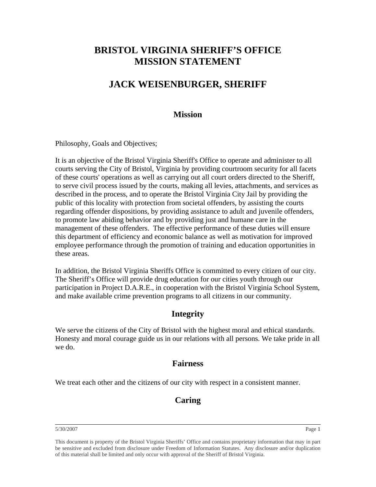# **BRISTOL VIRGINIA SHERIFF'S OFFICE MISSION STATEMENT**

# **JACK WEISENBURGER, SHERIFF**

### **Mission**

Philosophy, Goals and Objectives;

It is an objective of the Bristol Virginia Sheriff's Office to operate and administer to all courts serving the City of Bristol, Virginia by providing courtroom security for all facets of these courts' operations as well as carrying out all court orders directed to the Sheriff, to serve civil process issued by the courts, making all levies, attachments, and services as described in the process, and to operate the Bristol Virginia City Jail by providing the public of this locality with protection from societal offenders, by assisting the courts regarding offender dispositions, by providing assistance to adult and juvenile offenders, to promote law abiding behavior and by providing just and humane care in the management of these offenders. The effective performance of these duties will ensure this department of efficiency and economic balance as well as motivation for improved employee performance through the promotion of training and education opportunities in these areas.

In addition, the Bristol Virginia Sheriffs Office is committed to every citizen of our city. The Sheriff's Office will provide drug education for our cities youth through our participation in Project D.A.R.E., in cooperation with the Bristol Virginia School System, and make available crime prevention programs to all citizens in our community.

## **Integrity**

We serve the citizens of the City of Bristol with the highest moral and ethical standards. Honesty and moral courage guide us in our relations with all persons. We take pride in all we do.

#### **Fairness**

We treat each other and the citizens of our city with respect in a consistent manner.

## **Caring**

5/30/2007 Page 1

This document is property of the Bristol Virginia Sheriffs' Office and contains proprietary information that may in part be sensitive and excluded from disclosure under Freedom of Information Statutes. Any disclosure and/or duplication of this material shall be limited and only occur with approval of the Sheriff of Bristol Virginia.